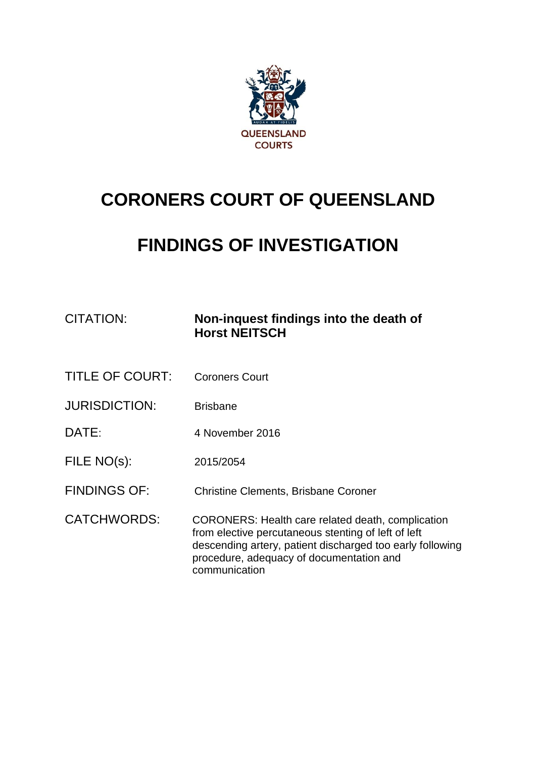

# **CORONERS COURT OF QUEENSLAND**

# **FINDINGS OF INVESTIGATION**

| CITATION:              | Non-inquest findings into the death of<br><b>Horst NEITSCH</b>                                                                                                                                                                     |
|------------------------|------------------------------------------------------------------------------------------------------------------------------------------------------------------------------------------------------------------------------------|
| <b>TITLE OF COURT:</b> | <b>Coroners Court</b>                                                                                                                                                                                                              |
| <b>JURISDICTION:</b>   | <b>Brisbane</b>                                                                                                                                                                                                                    |
| DATE:                  | 4 November 2016                                                                                                                                                                                                                    |
| FILE NO(s):            | 2015/2054                                                                                                                                                                                                                          |
| <b>FINDINGS OF:</b>    | <b>Christine Clements, Brisbane Coroner</b>                                                                                                                                                                                        |
| <b>CATCHWORDS:</b>     | CORONERS: Health care related death, complication<br>from elective percutaneous stenting of left of left<br>descending artery, patient discharged too early following<br>procedure, adequacy of documentation and<br>communication |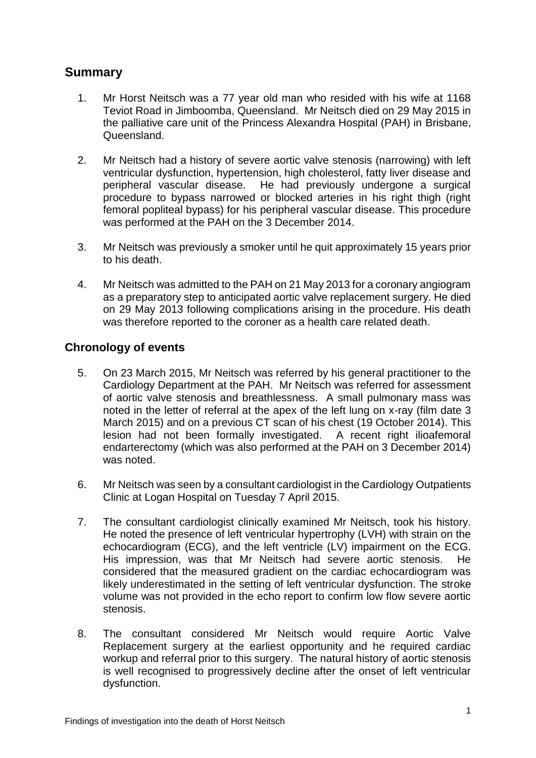## **Summary**

- 1. Mr Horst Neitsch was a 77 year old man who resided with his wife at 1168 Teviot Road in Jimboomba, Queensland. Mr Neitsch died on 29 May 2015 in the palliative care unit of the Princess Alexandra Hospital (PAH) in Brisbane, Queensland.
- 2. Mr Neitsch had a history of severe aortic valve stenosis (narrowing) with left ventricular dysfunction, hypertension, high cholesterol, fatty liver disease and peripheral vascular disease. He had previously undergone a surgical procedure to bypass narrowed or blocked arteries in his right thigh (right femoral popliteal bypass) for his peripheral vascular disease. This procedure was performed at the PAH on the 3 December 2014.
- 3. Mr Neitsch was previously a smoker until he quit approximately 15 years prior to his death.
- 4. Mr Neitsch was admitted to the PAH on 21 May 2013 for a coronary angiogram as a preparatory step to anticipated aortic valve replacement surgery. He died on 29 May 2013 following complications arising in the procedure. His death was therefore reported to the coroner as a health care related death.

## **Chronology of events**

- 5. On 23 March 2015, Mr Neitsch was referred by his general practitioner to the Cardiology Department at the PAH. Mr Neitsch was referred for assessment of aortic valve stenosis and breathlessness. A small pulmonary mass was noted in the letter of referral at the apex of the left lung on x-ray (film date 3 March 2015) and on a previous CT scan of his chest (19 October 2014). This lesion had not been formally investigated. A recent right ilioafemoral endarterectomy (which was also performed at the PAH on 3 December 2014) was noted.
- 6. Mr Neitsch was seen by a consultant cardiologist in the Cardiology Outpatients Clinic at Logan Hospital on Tuesday 7 April 2015.
- 7. The consultant cardiologist clinically examined Mr Neitsch, took his history. He noted the presence of left ventricular hypertrophy (LVH) with strain on the echocardiogram (ECG), and the left ventricle (LV) impairment on the ECG. His impression, was that Mr Neitsch had severe aortic stenosis. He considered that the measured gradient on the cardiac echocardiogram was likely underestimated in the setting of left ventricular dysfunction. The stroke volume was not provided in the echo report to confirm low flow severe aortic stenosis.
- 8. The consultant considered Mr Neitsch would require Aortic Valve Replacement surgery at the earliest opportunity and he required cardiac workup and referral prior to this surgery. The natural history of aortic stenosis is well recognised to progressively decline after the onset of left ventricular dysfunction.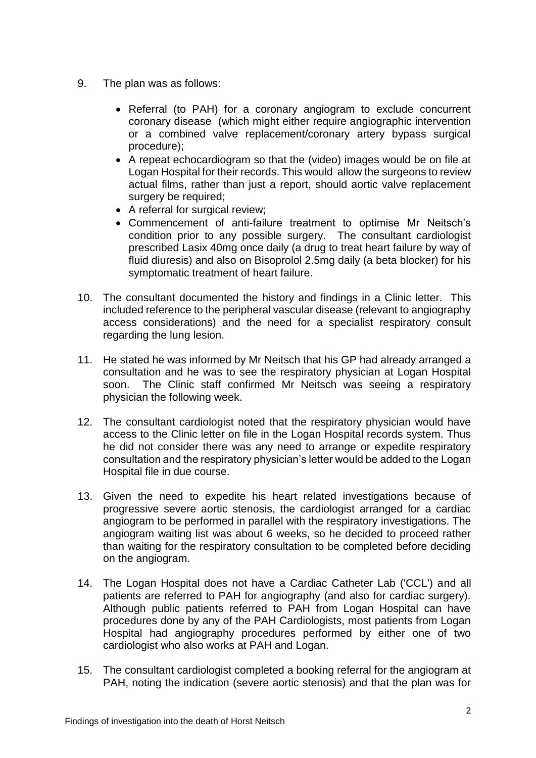- 9. The plan was as follows:
	- Referral (to PAH) for a coronary angiogram to exclude concurrent coronary disease (which might either require angiographic intervention or a combined valve replacement/coronary artery bypass surgical procedure);
	- A repeat echocardiogram so that the (video) images would be on file at Logan Hospital for their records. This would allow the surgeons to review actual films, rather than just a report, should aortic valve replacement surgery be required;
	- A referral for surgical review;
	- Commencement of anti-failure treatment to optimise Mr Neitsch's condition prior to any possible surgery. The consultant cardiologist prescribed Lasix 40mg once daily (a drug to treat heart failure by way of fluid diuresis) and also on Bisoprolol 2.5mg daily (a beta blocker) for his symptomatic treatment of heart failure.
- 10. The consultant documented the history and findings in a Clinic letter. This included reference to the peripheral vascular disease (relevant to angiography access considerations) and the need for a specialist respiratory consult regarding the lung lesion.
- 11. He stated he was informed by Mr Neitsch that his GP had already arranged a consultation and he was to see the respiratory physician at Logan Hospital soon. The Clinic staff confirmed Mr Neitsch was seeing a respiratory physician the following week.
- 12. The consultant cardiologist noted that the respiratory physician would have access to the Clinic letter on file in the Logan Hospital records system. Thus he did not consider there was any need to arrange or expedite respiratory consultation and the respiratory physician's letter would be added to the Logan Hospital file in due course.
- 13. Given the need to expedite his heart related investigations because of progressive severe aortic stenosis, the cardiologist arranged for a cardiac angiogram to be performed in parallel with the respiratory investigations. The angiogram waiting list was about 6 weeks, so he decided to proceed rather than waiting for the respiratory consultation to be completed before deciding on the angiogram.
- 14. The Logan Hospital does not have a Cardiac Catheter Lab ('CCL') and all patients are referred to PAH for angiography (and also for cardiac surgery). Although public patients referred to PAH from Logan Hospital can have procedures done by any of the PAH Cardiologists, most patients from Logan Hospital had angiography procedures performed by either one of two cardiologist who also works at PAH and Logan.
- 15. The consultant cardiologist completed a booking referral for the angiogram at PAH, noting the indication (severe aortic stenosis) and that the plan was for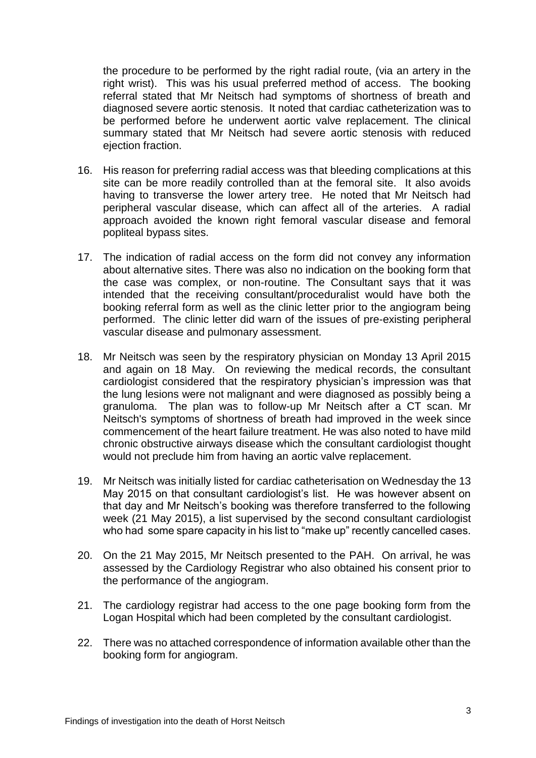the procedure to be performed by the right radial route, (via an artery in the right wrist). This was his usual preferred method of access. The booking referral stated that Mr Neitsch had symptoms of shortness of breath and diagnosed severe aortic stenosis. It noted that cardiac catheterization was to be performed before he underwent aortic valve replacement. The clinical summary stated that Mr Neitsch had severe aortic stenosis with reduced ejection fraction.

- 16. His reason for preferring radial access was that bleeding complications at this site can be more readily controlled than at the femoral site. It also avoids having to transverse the lower artery tree. He noted that Mr Neitsch had peripheral vascular disease, which can affect all of the arteries. A radial approach avoided the known right femoral vascular disease and femoral popliteal bypass sites.
- 17. The indication of radial access on the form did not convey any information about alternative sites. There was also no indication on the booking form that the case was complex, or non-routine. The Consultant says that it was intended that the receiving consultant/proceduralist would have both the booking referral form as well as the clinic letter prior to the angiogram being performed. The clinic letter did warn of the issues of pre-existing peripheral vascular disease and pulmonary assessment.
- 18. Mr Neitsch was seen by the respiratory physician on Monday 13 April 2015 and again on 18 May. On reviewing the medical records, the consultant cardiologist considered that the respiratory physician's impression was that the lung lesions were not malignant and were diagnosed as possibly being a granuloma. The plan was to follow-up Mr Neitsch after a CT scan. Mr Neitsch's symptoms of shortness of breath had improved in the week since commencement of the heart failure treatment. He was also noted to have mild chronic obstructive airways disease which the consultant cardiologist thought would not preclude him from having an aortic valve replacement.
- 19. Mr Neitsch was initially listed for cardiac catheterisation on Wednesday the 13 May 2015 on that consultant cardiologist's list. He was however absent on that day and Mr Neitsch's booking was therefore transferred to the following week (21 May 2015), a list supervised by the second consultant cardiologist who had some spare capacity in his list to "make up" recently cancelled cases.
- 20. On the 21 May 2015, Mr Neitsch presented to the PAH. On arrival, he was assessed by the Cardiology Registrar who also obtained his consent prior to the performance of the angiogram.
- 21. The cardiology registrar had access to the one page booking form from the Logan Hospital which had been completed by the consultant cardiologist.
- 22. There was no attached correspondence of information available other than the booking form for angiogram.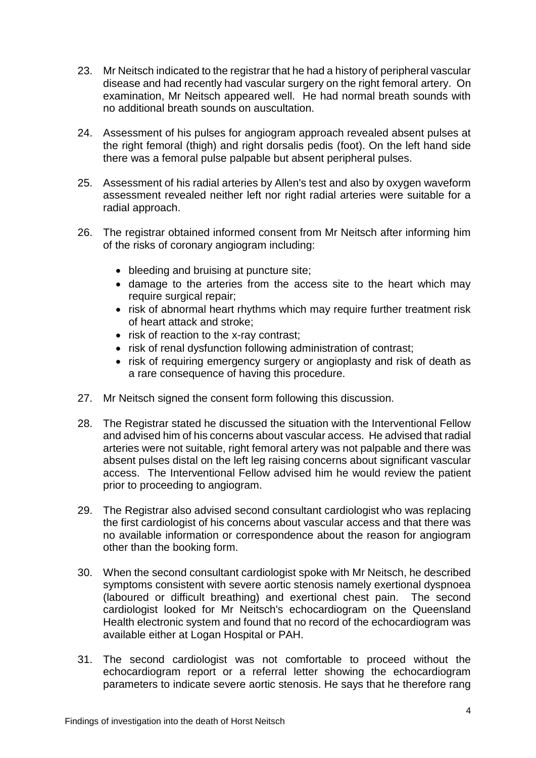- 23. Mr Neitsch indicated to the registrar that he had a history of peripheral vascular disease and had recently had vascular surgery on the right femoral artery. On examination, Mr Neitsch appeared well. He had normal breath sounds with no additional breath sounds on auscultation.
- 24. Assessment of his pulses for angiogram approach revealed absent pulses at the right femoral (thigh) and right dorsalis pedis (foot). On the left hand side there was a femoral pulse palpable but absent peripheral pulses.
- 25. Assessment of his radial arteries by Allen's test and also by oxygen waveform assessment revealed neither left nor right radial arteries were suitable for a radial approach.
- 26. The registrar obtained informed consent from Mr Neitsch after informing him of the risks of coronary angiogram including:
	- bleeding and bruising at puncture site;
	- damage to the arteries from the access site to the heart which may require surgical repair;
	- risk of abnormal heart rhythms which may require further treatment risk of heart attack and stroke;
	- risk of reaction to the x-ray contrast;
	- risk of renal dysfunction following administration of contrast;
	- risk of requiring emergency surgery or angioplasty and risk of death as a rare consequence of having this procedure.
- 27. Mr Neitsch signed the consent form following this discussion.
- 28. The Registrar stated he discussed the situation with the Interventional Fellow and advised him of his concerns about vascular access. He advised that radial arteries were not suitable, right femoral artery was not palpable and there was absent pulses distal on the left leg raising concerns about significant vascular access. The Interventional Fellow advised him he would review the patient prior to proceeding to angiogram.
- 29. The Registrar also advised second consultant cardiologist who was replacing the first cardiologist of his concerns about vascular access and that there was no available information or correspondence about the reason for angiogram other than the booking form.
- 30. When the second consultant cardiologist spoke with Mr Neitsch, he described symptoms consistent with severe aortic stenosis namely exertional dyspnoea (laboured or difficult breathing) and exertional chest pain. The second cardiologist looked for Mr Neitsch's echocardiogram on the Queensland Health electronic system and found that no record of the echocardiogram was available either at Logan Hospital or PAH.
- 31. The second cardiologist was not comfortable to proceed without the echocardiogram report or a referral letter showing the echocardiogram parameters to indicate severe aortic stenosis. He says that he therefore rang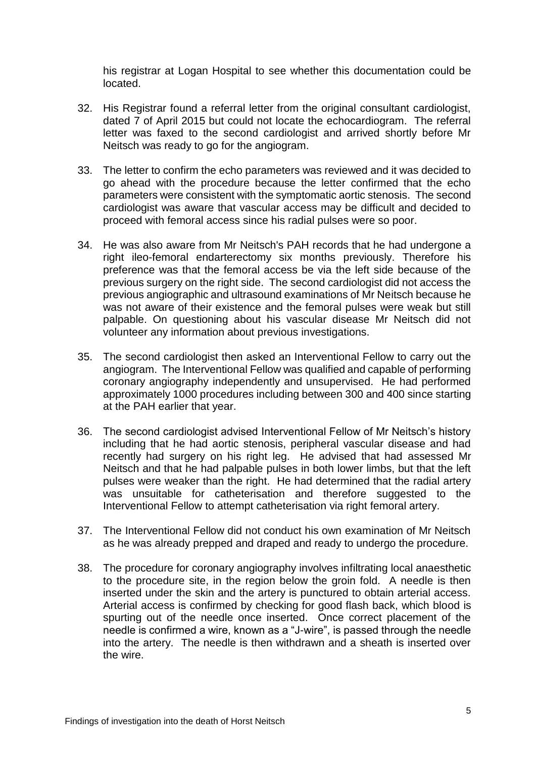his registrar at Logan Hospital to see whether this documentation could be located.

- 32. His Registrar found a referral letter from the original consultant cardiologist, dated 7 of April 2015 but could not locate the echocardiogram. The referral letter was faxed to the second cardiologist and arrived shortly before Mr Neitsch was ready to go for the angiogram.
- 33. The letter to confirm the echo parameters was reviewed and it was decided to go ahead with the procedure because the letter confirmed that the echo parameters were consistent with the symptomatic aortic stenosis. The second cardiologist was aware that vascular access may be difficult and decided to proceed with femoral access since his radial pulses were so poor.
- 34. He was also aware from Mr Neitsch's PAH records that he had undergone a right ileo-femoral endarterectomy six months previously. Therefore his preference was that the femoral access be via the left side because of the previous surgery on the right side. The second cardiologist did not access the previous angiographic and ultrasound examinations of Mr Neitsch because he was not aware of their existence and the femoral pulses were weak but still palpable. On questioning about his vascular disease Mr Neitsch did not volunteer any information about previous investigations.
- 35. The second cardiologist then asked an Interventional Fellow to carry out the angiogram. The Interventional Fellow was qualified and capable of performing coronary angiography independently and unsupervised. He had performed approximately 1000 procedures including between 300 and 400 since starting at the PAH earlier that year.
- 36. The second cardiologist advised Interventional Fellow of Mr Neitsch's history including that he had aortic stenosis, peripheral vascular disease and had recently had surgery on his right leg. He advised that had assessed Mr Neitsch and that he had palpable pulses in both lower limbs, but that the left pulses were weaker than the right. He had determined that the radial artery was unsuitable for catheterisation and therefore suggested to the Interventional Fellow to attempt catheterisation via right femoral artery.
- 37. The Interventional Fellow did not conduct his own examination of Mr Neitsch as he was already prepped and draped and ready to undergo the procedure.
- 38. The procedure for coronary angiography involves infiltrating local anaesthetic to the procedure site, in the region below the groin fold. A needle is then inserted under the skin and the artery is punctured to obtain arterial access. Arterial access is confirmed by checking for good flash back, which blood is spurting out of the needle once inserted. Once correct placement of the needle is confirmed a wire, known as a "J-wire", is passed through the needle into the artery. The needle is then withdrawn and a sheath is inserted over the wire.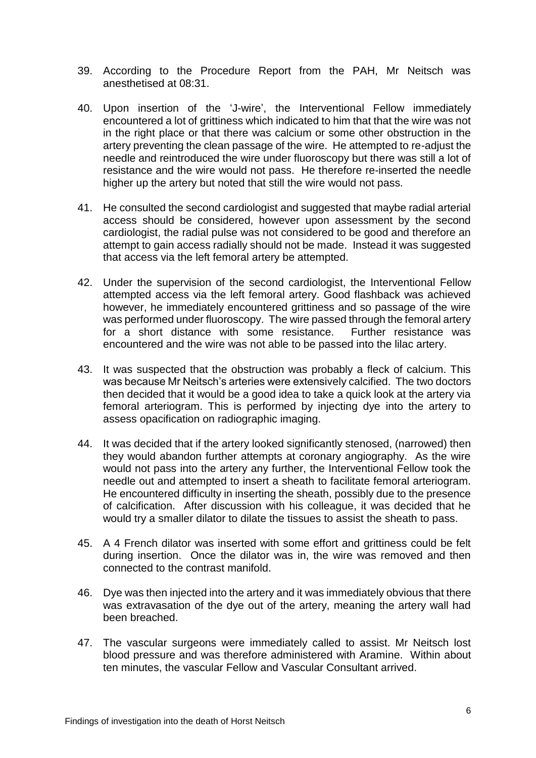- 39. According to the Procedure Report from the PAH, Mr Neitsch was anesthetised at 08:31.
- 40. Upon insertion of the 'J-wire', the Interventional Fellow immediately encountered a lot of grittiness which indicated to him that that the wire was not in the right place or that there was calcium or some other obstruction in the artery preventing the clean passage of the wire. He attempted to re-adjust the needle and reintroduced the wire under fluoroscopy but there was still a lot of resistance and the wire would not pass. He therefore re-inserted the needle higher up the artery but noted that still the wire would not pass.
- 41. He consulted the second cardiologist and suggested that maybe radial arterial access should be considered, however upon assessment by the second cardiologist, the radial pulse was not considered to be good and therefore an attempt to gain access radially should not be made. Instead it was suggested that access via the left femoral artery be attempted.
- 42. Under the supervision of the second cardiologist, the Interventional Fellow attempted access via the left femoral artery. Good flashback was achieved however, he immediately encountered grittiness and so passage of the wire was performed under fluoroscopy. The wire passed through the femoral artery for a short distance with some resistance. Further resistance was encountered and the wire was not able to be passed into the lilac artery.
- 43. It was suspected that the obstruction was probably a fleck of calcium. This was because Mr Neitsch's arteries were extensively calcified. The two doctors then decided that it would be a good idea to take a quick look at the artery via femoral arteriogram. This is performed by injecting dye into the artery to assess opacification on radiographic imaging.
- 44. It was decided that if the artery looked significantly stenosed, (narrowed) then they would abandon further attempts at coronary angiography. As the wire would not pass into the artery any further, the Interventional Fellow took the needle out and attempted to insert a sheath to facilitate femoral arteriogram. He encountered difficulty in inserting the sheath, possibly due to the presence of calcification. After discussion with his colleague, it was decided that he would try a smaller dilator to dilate the tissues to assist the sheath to pass.
- 45. A 4 French dilator was inserted with some effort and grittiness could be felt during insertion. Once the dilator was in, the wire was removed and then connected to the contrast manifold.
- 46. Dye was then injected into the artery and it was immediately obvious that there was extravasation of the dye out of the artery, meaning the artery wall had been breached.
- 47. The vascular surgeons were immediately called to assist. Mr Neitsch lost blood pressure and was therefore administered with Aramine. Within about ten minutes, the vascular Fellow and Vascular Consultant arrived.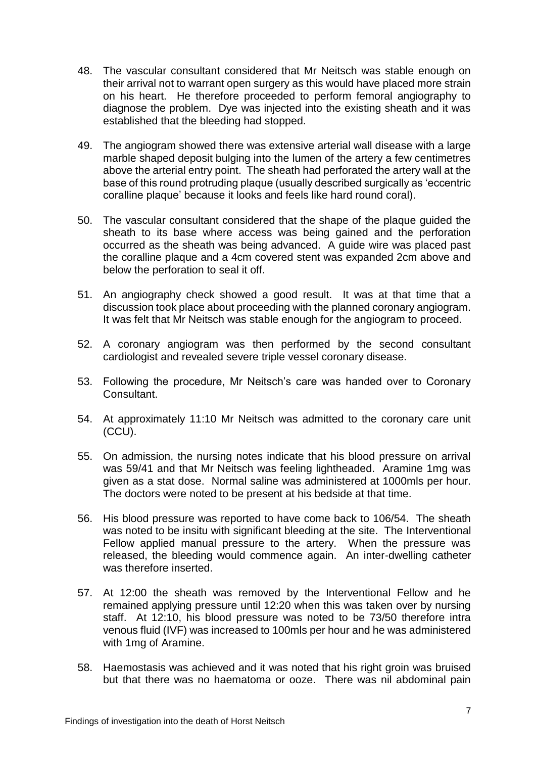- 48. The vascular consultant considered that Mr Neitsch was stable enough on their arrival not to warrant open surgery as this would have placed more strain on his heart. He therefore proceeded to perform femoral angiography to diagnose the problem. Dye was injected into the existing sheath and it was established that the bleeding had stopped.
- 49. The angiogram showed there was extensive arterial wall disease with a large marble shaped deposit bulging into the lumen of the artery a few centimetres above the arterial entry point. The sheath had perforated the artery wall at the base of this round protruding plaque (usually described surgically as 'eccentric coralline plaque' because it looks and feels like hard round coral).
- 50. The vascular consultant considered that the shape of the plaque guided the sheath to its base where access was being gained and the perforation occurred as the sheath was being advanced. A guide wire was placed past the coralline plaque and a 4cm covered stent was expanded 2cm above and below the perforation to seal it off.
- 51. An angiography check showed a good result. It was at that time that a discussion took place about proceeding with the planned coronary angiogram. It was felt that Mr Neitsch was stable enough for the angiogram to proceed.
- 52. A coronary angiogram was then performed by the second consultant cardiologist and revealed severe triple vessel coronary disease.
- 53. Following the procedure, Mr Neitsch's care was handed over to Coronary Consultant.
- 54. At approximately 11:10 Mr Neitsch was admitted to the coronary care unit (CCU).
- 55. On admission, the nursing notes indicate that his blood pressure on arrival was 59/41 and that Mr Neitsch was feeling lightheaded. Aramine 1mg was given as a stat dose. Normal saline was administered at 1000mls per hour. The doctors were noted to be present at his bedside at that time.
- 56. His blood pressure was reported to have come back to 106/54. The sheath was noted to be insitu with significant bleeding at the site. The Interventional Fellow applied manual pressure to the artery. When the pressure was released, the bleeding would commence again. An inter-dwelling catheter was therefore inserted.
- 57. At 12:00 the sheath was removed by the Interventional Fellow and he remained applying pressure until 12:20 when this was taken over by nursing staff. At 12:10, his blood pressure was noted to be 73/50 therefore intra venous fluid (IVF) was increased to 100mls per hour and he was administered with 1mg of Aramine.
- 58. Haemostasis was achieved and it was noted that his right groin was bruised but that there was no haematoma or ooze. There was nil abdominal pain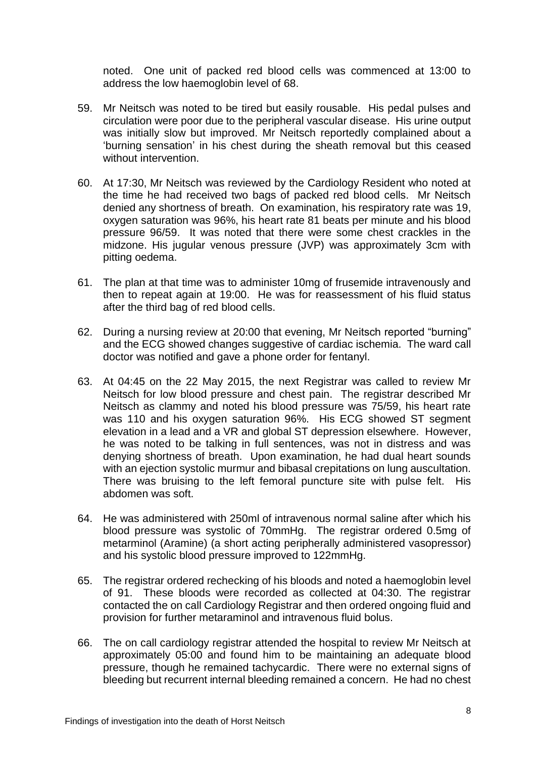noted. One unit of packed red blood cells was commenced at 13:00 to address the low haemoglobin level of 68.

- 59. Mr Neitsch was noted to be tired but easily rousable. His pedal pulses and circulation were poor due to the peripheral vascular disease. His urine output was initially slow but improved. Mr Neitsch reportedly complained about a 'burning sensation' in his chest during the sheath removal but this ceased without intervention.
- 60. At 17:30, Mr Neitsch was reviewed by the Cardiology Resident who noted at the time he had received two bags of packed red blood cells. Mr Neitsch denied any shortness of breath. On examination, his respiratory rate was 19, oxygen saturation was 96%, his heart rate 81 beats per minute and his blood pressure 96/59. It was noted that there were some chest crackles in the midzone. His jugular venous pressure (JVP) was approximately 3cm with pitting oedema.
- 61. The plan at that time was to administer 10mg of frusemide intravenously and then to repeat again at 19:00. He was for reassessment of his fluid status after the third bag of red blood cells.
- 62. During a nursing review at 20:00 that evening, Mr Neitsch reported "burning" and the ECG showed changes suggestive of cardiac ischemia. The ward call doctor was notified and gave a phone order for fentanyl.
- 63. At 04:45 on the 22 May 2015, the next Registrar was called to review Mr Neitsch for low blood pressure and chest pain. The registrar described Mr Neitsch as clammy and noted his blood pressure was 75/59, his heart rate was 110 and his oxygen saturation 96%. His ECG showed ST segment elevation in a lead and a VR and global ST depression elsewhere. However, he was noted to be talking in full sentences, was not in distress and was denying shortness of breath. Upon examination, he had dual heart sounds with an ejection systolic murmur and bibasal crepitations on lung auscultation. There was bruising to the left femoral puncture site with pulse felt. His abdomen was soft.
- 64. He was administered with 250ml of intravenous normal saline after which his blood pressure was systolic of 70mmHg. The registrar ordered 0.5mg of metarminol (Aramine) (a short acting peripherally administered vasopressor) and his systolic blood pressure improved to 122mmHg.
- 65. The registrar ordered rechecking of his bloods and noted a haemoglobin level of 91. These bloods were recorded as collected at 04:30. The registrar contacted the on call Cardiology Registrar and then ordered ongoing fluid and provision for further metaraminol and intravenous fluid bolus.
- 66. The on call cardiology registrar attended the hospital to review Mr Neitsch at approximately 05:00 and found him to be maintaining an adequate blood pressure, though he remained tachycardic. There were no external signs of bleeding but recurrent internal bleeding remained a concern. He had no chest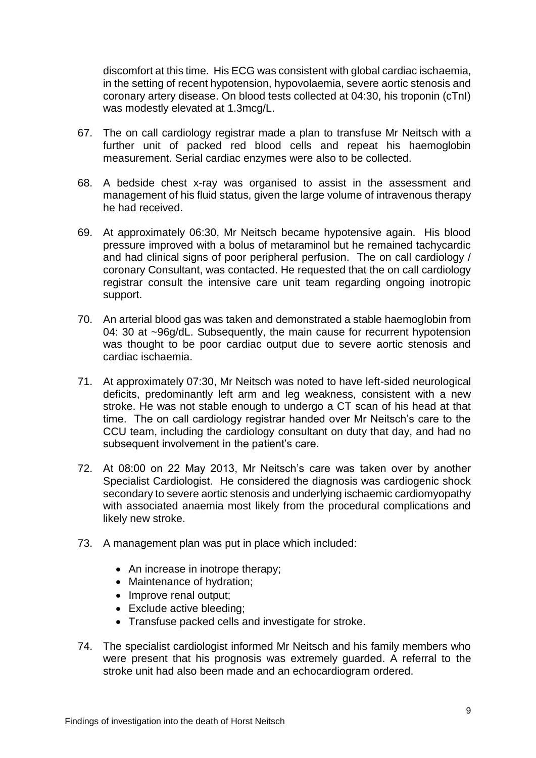discomfort at this time. His ECG was consistent with global cardiac ischaemia, in the setting of recent hypotension, hypovolaemia, severe aortic stenosis and coronary artery disease. On blood tests collected at 04:30, his troponin (cTnI) was modestly elevated at 1.3mcg/L.

- 67. The on call cardiology registrar made a plan to transfuse Mr Neitsch with a further unit of packed red blood cells and repeat his haemoglobin measurement. Serial cardiac enzymes were also to be collected.
- 68. A bedside chest x-ray was organised to assist in the assessment and management of his fluid status, given the large volume of intravenous therapy he had received.
- 69. At approximately 06:30, Mr Neitsch became hypotensive again. His blood pressure improved with a bolus of metaraminol but he remained tachycardic and had clinical signs of poor peripheral perfusion. The on call cardiology / coronary Consultant, was contacted. He requested that the on call cardiology registrar consult the intensive care unit team regarding ongoing inotropic support.
- 70. An arterial blood gas was taken and demonstrated a stable haemoglobin from 04: 30 at ~96g/dL. Subsequently, the main cause for recurrent hypotension was thought to be poor cardiac output due to severe aortic stenosis and cardiac ischaemia.
- 71. At approximately 07:30, Mr Neitsch was noted to have left-sided neurological deficits, predominantly left arm and leg weakness, consistent with a new stroke. He was not stable enough to undergo a CT scan of his head at that time. The on call cardiology registrar handed over Mr Neitsch's care to the CCU team, including the cardiology consultant on duty that day, and had no subsequent involvement in the patient's care.
- 72. At 08:00 on 22 May 2013, Mr Neitsch's care was taken over by another Specialist Cardiologist. He considered the diagnosis was cardiogenic shock secondary to severe aortic stenosis and underlying ischaemic cardiomyopathy with associated anaemia most likely from the procedural complications and likely new stroke.
- 73. A management plan was put in place which included:
	- An increase in inotrope therapy:
	- Maintenance of hydration;
	- Improve renal output;
	- Exclude active bleeding;
	- Transfuse packed cells and investigate for stroke.
- 74. The specialist cardiologist informed Mr Neitsch and his family members who were present that his prognosis was extremely guarded. A referral to the stroke unit had also been made and an echocardiogram ordered.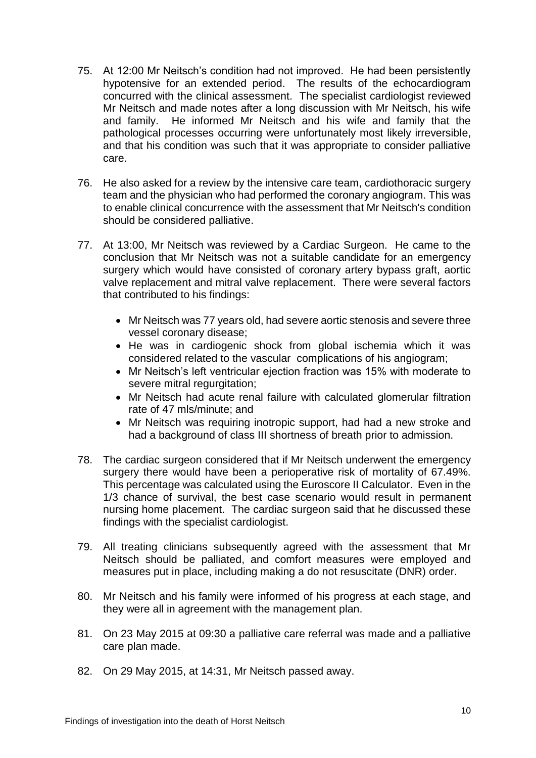- 75. At 12:00 Mr Neitsch's condition had not improved. He had been persistently hypotensive for an extended period. The results of the echocardiogram concurred with the clinical assessment. The specialist cardiologist reviewed Mr Neitsch and made notes after a long discussion with Mr Neitsch, his wife and family. He informed Mr Neitsch and his wife and family that the pathological processes occurring were unfortunately most likely irreversible, and that his condition was such that it was appropriate to consider palliative care.
- 76. He also asked for a review by the intensive care team, cardiothoracic surgery team and the physician who had performed the coronary angiogram. This was to enable clinical concurrence with the assessment that Mr Neitsch's condition should be considered palliative.
- 77. At 13:00, Mr Neitsch was reviewed by a Cardiac Surgeon. He came to the conclusion that Mr Neitsch was not a suitable candidate for an emergency surgery which would have consisted of coronary artery bypass graft, aortic valve replacement and mitral valve replacement. There were several factors that contributed to his findings:
	- Mr Neitsch was 77 years old, had severe aortic stenosis and severe three vessel coronary disease;
	- He was in cardiogenic shock from global ischemia which it was considered related to the vascular complications of his angiogram;
	- Mr Neitsch's left ventricular ejection fraction was 15% with moderate to severe mitral regurgitation;
	- Mr Neitsch had acute renal failure with calculated glomerular filtration rate of 47 mls/minute; and
	- Mr Neitsch was requiring inotropic support, had had a new stroke and had a background of class III shortness of breath prior to admission.
- 78. The cardiac surgeon considered that if Mr Neitsch underwent the emergency surgery there would have been a perioperative risk of mortality of 67.49%. This percentage was calculated using the Euroscore II Calculator. Even in the 1/3 chance of survival, the best case scenario would result in permanent nursing home placement. The cardiac surgeon said that he discussed these findings with the specialist cardiologist.
- 79. All treating clinicians subsequently agreed with the assessment that Mr Neitsch should be palliated, and comfort measures were employed and measures put in place, including making a do not resuscitate (DNR) order.
- 80. Mr Neitsch and his family were informed of his progress at each stage, and they were all in agreement with the management plan.
- 81. On 23 May 2015 at 09:30 a palliative care referral was made and a palliative care plan made.
- 82. On 29 May 2015, at 14:31, Mr Neitsch passed away.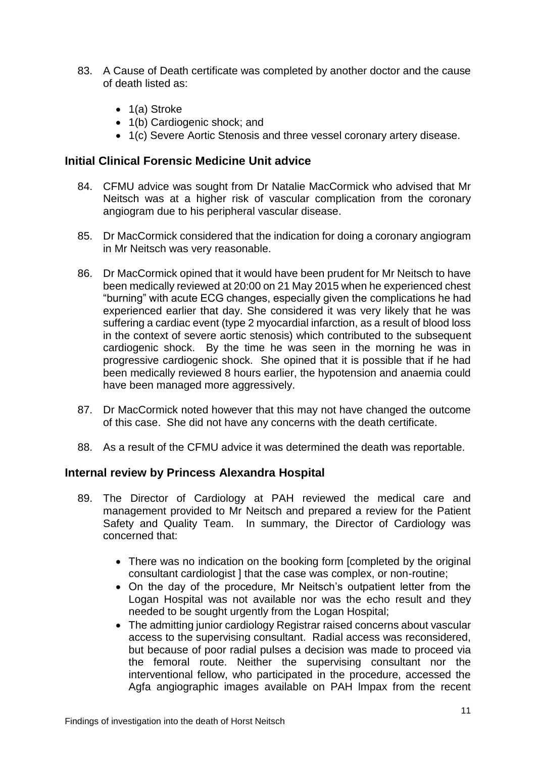- 83. A Cause of Death certificate was completed by another doctor and the cause of death listed as:
	- $\bullet$  1(a) Stroke
	- 1(b) Cardiogenic shock; and
	- 1(c) Severe Aortic Stenosis and three vessel coronary artery disease.

#### **Initial Clinical Forensic Medicine Unit advice**

- 84. CFMU advice was sought from Dr Natalie MacCormick who advised that Mr Neitsch was at a higher risk of vascular complication from the coronary angiogram due to his peripheral vascular disease.
- 85. Dr MacCormick considered that the indication for doing a coronary angiogram in Mr Neitsch was very reasonable.
- 86. Dr MacCormick opined that it would have been prudent for Mr Neitsch to have been medically reviewed at 20:00 on 21 May 2015 when he experienced chest "burning" with acute ECG changes, especially given the complications he had experienced earlier that day. She considered it was very likely that he was suffering a cardiac event (type 2 myocardial infarction, as a result of blood loss in the context of severe aortic stenosis) which contributed to the subsequent cardiogenic shock. By the time he was seen in the morning he was in progressive cardiogenic shock. She opined that it is possible that if he had been medically reviewed 8 hours earlier, the hypotension and anaemia could have been managed more aggressively.
- 87. Dr MacCormick noted however that this may not have changed the outcome of this case. She did not have any concerns with the death certificate.
- 88. As a result of the CFMU advice it was determined the death was reportable.

#### **Internal review by Princess Alexandra Hospital**

- 89. The Director of Cardiology at PAH reviewed the medical care and management provided to Mr Neitsch and prepared a review for the Patient Safety and Quality Team. In summary, the Director of Cardiology was concerned that:
	- There was no indication on the booking form [completed by the original consultant cardiologist ] that the case was complex, or non-routine;
	- On the day of the procedure, Mr Neitsch's outpatient letter from the Logan Hospital was not available nor was the echo result and they needed to be sought urgently from the Logan Hospital;
	- The admitting junior cardiology Registrar raised concerns about vascular access to the supervising consultant. Radial access was reconsidered, but because of poor radial pulses a decision was made to proceed via the femoral route. Neither the supervising consultant nor the interventional fellow, who participated in the procedure, accessed the Agfa angiographic images available on PAH lmpax from the recent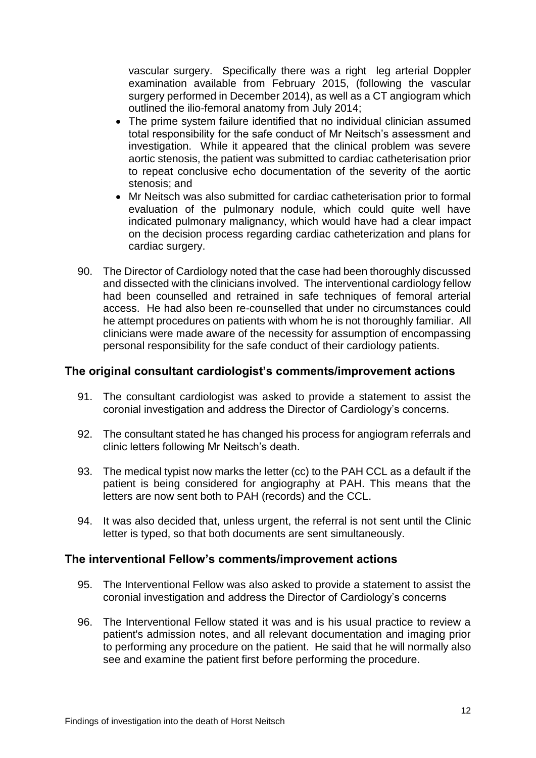vascular surgery. Specifically there was a right leg arterial Doppler examination available from February 2015, (following the vascular surgery performed in December 2014), as well as a CT angiogram which outlined the ilio-femoral anatomy from July 2014;

- The prime system failure identified that no individual clinician assumed total responsibility for the safe conduct of Mr Neitsch's assessment and investigation. While it appeared that the clinical problem was severe aortic stenosis, the patient was submitted to cardiac catheterisation prior to repeat conclusive echo documentation of the severity of the aortic stenosis; and
- Mr Neitsch was also submitted for cardiac catheterisation prior to formal evaluation of the pulmonary nodule, which could quite well have indicated pulmonary malignancy, which would have had a clear impact on the decision process regarding cardiac catheterization and plans for cardiac surgery.
- 90. The Director of Cardiology noted that the case had been thoroughly discussed and dissected with the clinicians involved. The interventional cardiology fellow had been counselled and retrained in safe techniques of femoral arterial access. He had also been re-counselled that under no circumstances could he attempt procedures on patients with whom he is not thoroughly familiar. All clinicians were made aware of the necessity for assumption of encompassing personal responsibility for the safe conduct of their cardiology patients.

#### **The original consultant cardiologist's comments/improvement actions**

- 91. The consultant cardiologist was asked to provide a statement to assist the coronial investigation and address the Director of Cardiology's concerns.
- 92. The consultant stated he has changed his process for angiogram referrals and clinic letters following Mr Neitsch's death.
- 93. The medical typist now marks the letter (cc) to the PAH CCL as a default if the patient is being considered for angiography at PAH. This means that the letters are now sent both to PAH (records) and the CCL.
- 94. It was also decided that, unless urgent, the referral is not sent until the Clinic letter is typed, so that both documents are sent simultaneously.

#### **The interventional Fellow's comments/improvement actions**

- 95. The Interventional Fellow was also asked to provide a statement to assist the coronial investigation and address the Director of Cardiology's concerns
- 96. The Interventional Fellow stated it was and is his usual practice to review a patient's admission notes, and all relevant documentation and imaging prior to performing any procedure on the patient. He said that he will normally also see and examine the patient first before performing the procedure.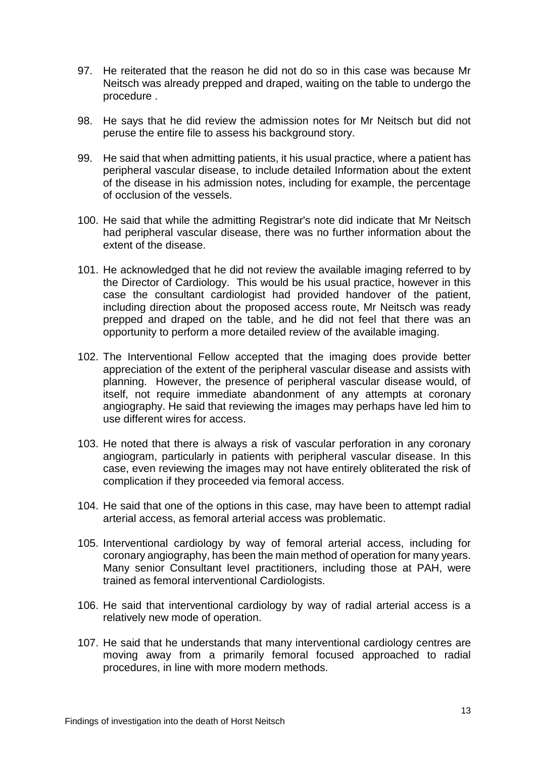- 97. He reiterated that the reason he did not do so in this case was because Mr Neitsch was already prepped and draped, waiting on the table to undergo the procedure .
- 98. He says that he did review the admission notes for Mr Neitsch but did not peruse the entire file to assess his background story.
- 99. He said that when admitting patients, it his usual practice, where a patient has peripheral vascular disease, to include detailed Information about the extent of the disease in his admission notes, including for example, the percentage of occlusion of the vessels.
- 100. He said that while the admitting Registrar's note did indicate that Mr Neitsch had peripheral vascular disease, there was no further information about the extent of the disease.
- 101. He acknowledged that he did not review the available imaging referred to by the Director of Cardiology. This would be his usual practice, however in this case the consultant cardiologist had provided handover of the patient, including direction about the proposed access route, Mr Neitsch was ready prepped and draped on the table, and he did not feel that there was an opportunity to perform a more detailed review of the available imaging.
- 102. The Interventional Fellow accepted that the imaging does provide better appreciation of the extent of the peripheral vascular disease and assists with planning. However, the presence of peripheral vascular disease would, of itself, not require immediate abandonment of any attempts at coronary angiography. He said that reviewing the images may perhaps have led him to use different wires for access.
- 103. He noted that there is always a risk of vascular perforation in any coronary angiogram, particularly in patients with peripheral vascular disease. In this case, even reviewing the images may not have entirely obliterated the risk of complication if they proceeded via femoral access.
- 104. He said that one of the options in this case, may have been to attempt radial arterial access, as femoral arterial access was problematic.
- 105. Interventional cardiology by way of femoral arterial access, including for coronary angiography, has been the main method of operation for many years. Many senior Consultant leveI practitioners, including those at PAH, were trained as femoral interventional Cardiologists.
- 106. He said that interventional cardiology by way of radial arterial access is a relatively new mode of operation.
- 107. He said that he understands that many interventional cardiology centres are moving away from a primarily femoral focused approached to radial procedures, in line with more modern methods.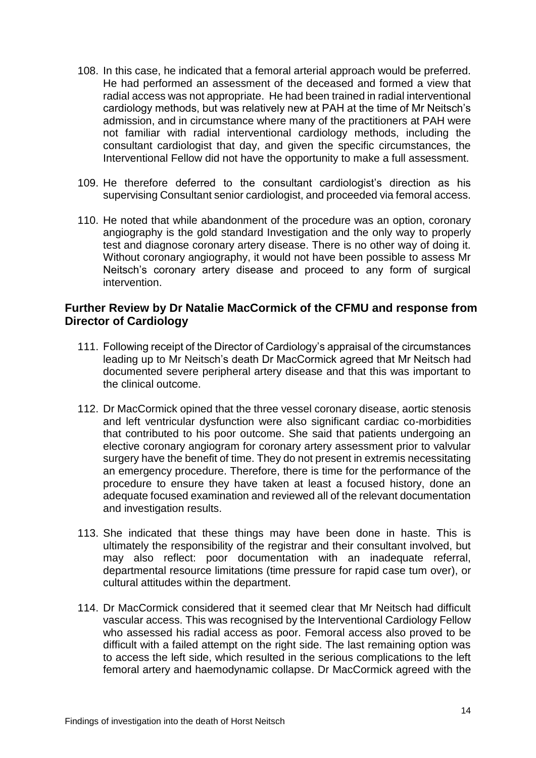- 108. In this case, he indicated that a femoral arterial approach would be preferred. He had performed an assessment of the deceased and formed a view that radial access was not appropriate. He had been trained in radial interventional cardiology methods, but was relatively new at PAH at the time of Mr Neitsch's admission, and in circumstance where many of the practitioners at PAH were not familiar with radial interventional cardiology methods, including the consultant cardiologist that day, and given the specific circumstances, the Interventional Fellow did not have the opportunity to make a full assessment.
- 109. He therefore deferred to the consultant cardiologist's direction as his supervising Consultant senior cardiologist, and proceeded via femoral access.
- 110. He noted that while abandonment of the procedure was an option, coronary angiography is the gold standard Investigation and the only way to properly test and diagnose coronary artery disease. There is no other way of doing it. Without coronary angiography, it would not have been possible to assess Mr Neitsch's coronary artery disease and proceed to any form of surgical intervention.

## **Further Review by Dr Natalie MacCormick of the CFMU and response from Director of Cardiology**

- 111. Following receipt of the Director of Cardiology's appraisal of the circumstances leading up to Mr Neitsch's death Dr MacCormick agreed that Mr Neitsch had documented severe peripheral artery disease and that this was important to the clinical outcome.
- 112. Dr MacCormick opined that the three vessel coronary disease, aortic stenosis and left ventricular dysfunction were also significant cardiac co-morbidities that contributed to his poor outcome. She said that patients undergoing an elective coronary angiogram for coronary artery assessment prior to valvular surgery have the benefit of time. They do not present in extremis necessitating an emergency procedure. Therefore, there is time for the performance of the procedure to ensure they have taken at least a focused history, done an adequate focused examination and reviewed all of the relevant documentation and investigation results.
- 113. She indicated that these things may have been done in haste. This is ultimately the responsibility of the registrar and their consultant involved, but may also reflect: poor documentation with an inadequate referral, departmental resource limitations (time pressure for rapid case tum over), or cultural attitudes within the department.
- 114. Dr MacCormick considered that it seemed clear that Mr Neitsch had difficult vascular access. This was recognised by the Interventional Cardiology Fellow who assessed his radial access as poor. Femoral access also proved to be difficult with a failed attempt on the right side. The last remaining option was to access the left side, which resulted in the serious complications to the left femoral artery and haemodynamic collapse. Dr MacCormick agreed with the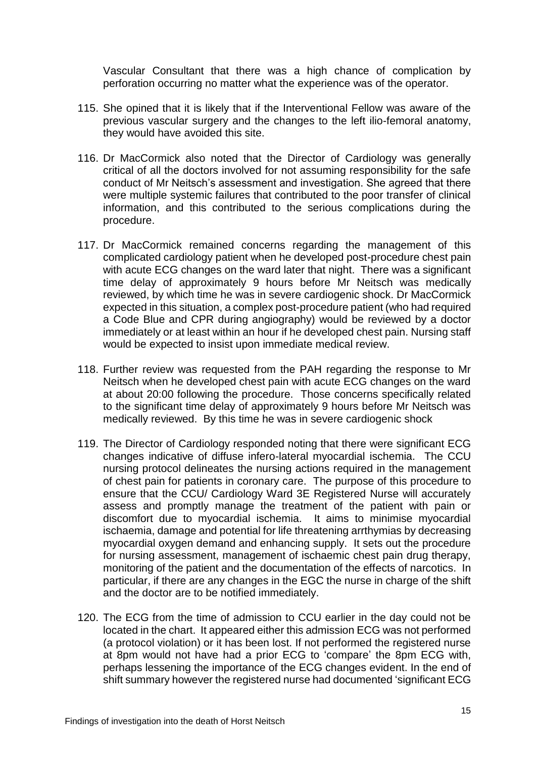Vascular Consultant that there was a high chance of complication by perforation occurring no matter what the experience was of the operator.

- 115. She opined that it is likely that if the Interventional Fellow was aware of the previous vascular surgery and the changes to the left ilio-femoral anatomy, they would have avoided this site.
- 116. Dr MacCormick also noted that the Director of Cardiology was generally critical of all the doctors involved for not assuming responsibility for the safe conduct of Mr Neitsch's assessment and investigation. She agreed that there were multiple systemic failures that contributed to the poor transfer of clinical information, and this contributed to the serious complications during the procedure.
- 117. Dr MacCormick remained concerns regarding the management of this complicated cardiology patient when he developed post-procedure chest pain with acute ECG changes on the ward later that night. There was a significant time delay of approximately 9 hours before Mr Neitsch was medically reviewed, by which time he was in severe cardiogenic shock. Dr MacCormick expected in this situation, a complex post-procedure patient (who had required a Code Blue and CPR during angiography) would be reviewed by a doctor immediately or at least within an hour if he developed chest pain. Nursing staff would be expected to insist upon immediate medical review.
- 118. Further review was requested from the PAH regarding the response to Mr Neitsch when he developed chest pain with acute ECG changes on the ward at about 20:00 following the procedure. Those concerns specifically related to the significant time delay of approximately 9 hours before Mr Neitsch was medically reviewed. By this time he was in severe cardiogenic shock
- 119. The Director of Cardiology responded noting that there were significant ECG changes indicative of diffuse infero-lateral myocardial ischemia. The CCU nursing protocol delineates the nursing actions required in the management of chest pain for patients in coronary care. The purpose of this procedure to ensure that the CCU/ Cardiology Ward 3E Registered Nurse will accurately assess and promptly manage the treatment of the patient with pain or discomfort due to myocardial ischemia. It aims to minimise myocardial ischaemia, damage and potential for life threatening arrthymias by decreasing myocardial oxygen demand and enhancing supply. It sets out the procedure for nursing assessment, management of ischaemic chest pain drug therapy, monitoring of the patient and the documentation of the effects of narcotics. In particular, if there are any changes in the EGC the nurse in charge of the shift and the doctor are to be notified immediately.
- 120. The ECG from the time of admission to CCU earlier in the day could not be located in the chart. It appeared either this admission ECG was not performed (a protocol violation) or it has been lost. If not performed the registered nurse at 8pm would not have had a prior ECG to 'compare' the 8pm ECG with, perhaps lessening the importance of the ECG changes evident. In the end of shift summary however the registered nurse had documented 'significant ECG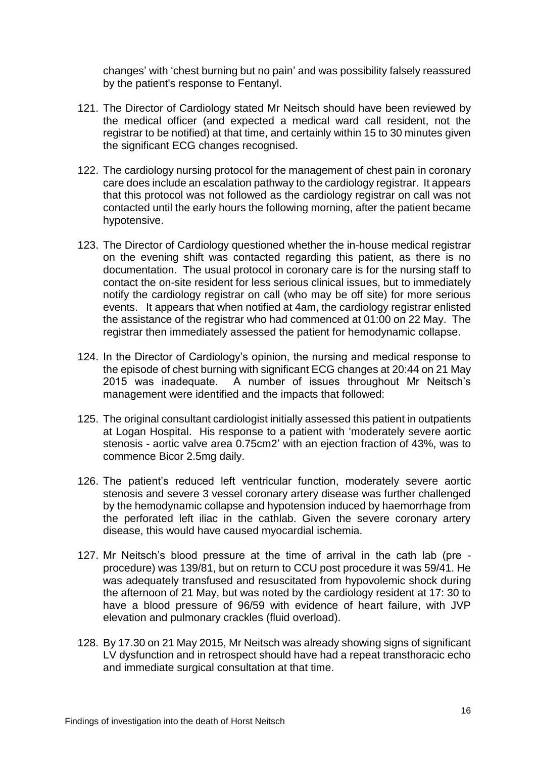changes' with 'chest burning but no pain' and was possibility falsely reassured by the patient's response to Fentanyl.

- 121. The Director of Cardiology stated Mr Neitsch should have been reviewed by the medical officer (and expected a medical ward call resident, not the registrar to be notified) at that time, and certainly within 15 to 30 minutes given the significant ECG changes recognised.
- 122. The cardiology nursing protocol for the management of chest pain in coronary care does include an escalation pathway to the cardiology registrar. It appears that this protocol was not followed as the cardiology registrar on call was not contacted until the early hours the following morning, after the patient became hypotensive.
- 123. The Director of Cardiology questioned whether the in-house medical registrar on the evening shift was contacted regarding this patient, as there is no documentation. The usual protocol in coronary care is for the nursing staff to contact the on-site resident for less serious clinical issues, but to immediately notify the cardiology registrar on call (who may be off site) for more serious events. It appears that when notified at 4am, the cardiology registrar enlisted the assistance of the registrar who had commenced at 01:00 on 22 May. The registrar then immediately assessed the patient for hemodynamic collapse.
- 124. In the Director of Cardiology's opinion, the nursing and medical response to the episode of chest burning with significant ECG changes at 20:44 on 21 May 2015 was inadequate. A number of issues throughout Mr Neitsch's management were identified and the impacts that followed:
- 125. The original consultant cardiologist initially assessed this patient in outpatients at Logan Hospital. His response to a patient with 'moderately severe aortic stenosis - aortic valve area 0.75cm2' with an ejection fraction of 43%, was to commence Bicor 2.5mg daily.
- 126. The patient's reduced left ventricular function, moderately severe aortic stenosis and severe 3 vessel coronary artery disease was further challenged by the hemodynamic collapse and hypotension induced by haemorrhage from the perforated left iliac in the cathlab. Given the severe coronary artery disease, this would have caused myocardial ischemia.
- 127. Mr Neitsch's blood pressure at the time of arrival in the cath lab (pre procedure) was 139/81, but on return to CCU post procedure it was 59/41. He was adequately transfused and resuscitated from hypovolemic shock during the afternoon of 21 May, but was noted by the cardiology resident at 17: 30 to have a blood pressure of 96/59 with evidence of heart failure, with JVP elevation and pulmonary crackles (fluid overload).
- 128. By 17.30 on 21 May 2015, Mr Neitsch was already showing signs of significant LV dysfunction and in retrospect should have had a repeat transthoracic echo and immediate surgical consultation at that time.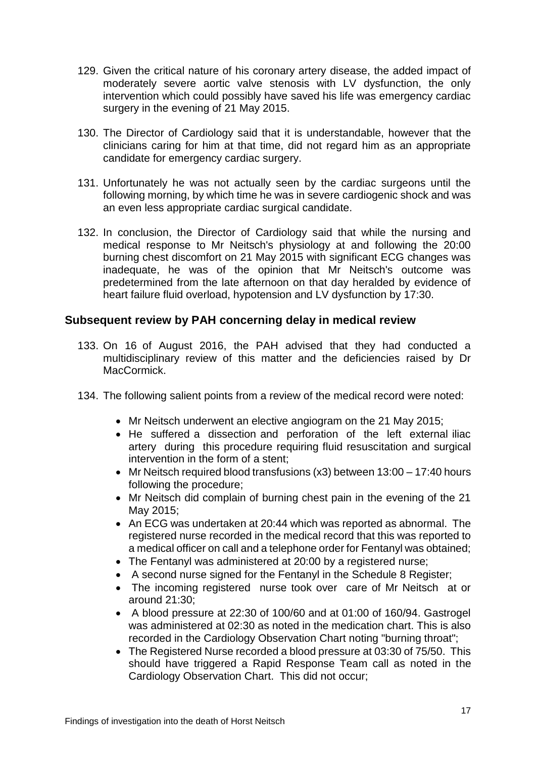- 129. Given the critical nature of his coronary artery disease, the added impact of moderately severe aortic valve stenosis with LV dysfunction, the only intervention which could possibly have saved his life was emergency cardiac surgery in the evening of 21 May 2015.
- 130. The Director of Cardiology said that it is understandable, however that the clinicians caring for him at that time, did not regard him as an appropriate candidate for emergency cardiac surgery.
- 131. Unfortunately he was not actually seen by the cardiac surgeons until the following morning, by which time he was in severe cardiogenic shock and was an even less appropriate cardiac surgical candidate.
- 132. In conclusion, the Director of Cardiology said that while the nursing and medical response to Mr Neitsch's physiology at and following the 20:00 burning chest discomfort on 21 May 2015 with significant ECG changes was inadequate, he was of the opinion that Mr Neitsch's outcome was predetermined from the late afternoon on that day heralded by evidence of heart failure fluid overload, hypotension and LV dysfunction by 17:30.

## **Subsequent review by PAH concerning delay in medical review**

- 133. On 16 of August 2016, the PAH advised that they had conducted a multidisciplinary review of this matter and the deficiencies raised by Dr MacCormick.
- 134. The following salient points from a review of the medical record were noted:
	- Mr Neitsch underwent an elective angiogram on the 21 May 2015:
	- He suffered a dissection and perforation of the left external iliac artery during this procedure requiring fluid resuscitation and surgical intervention in the form of a stent;
	- Mr Neitsch required blood transfusions (x3) between 13:00 17:40 hours following the procedure;
	- Mr Neitsch did complain of burning chest pain in the evening of the 21 May 2015;
	- An ECG was undertaken at 20:44 which was reported as abnormal. The registered nurse recorded in the medical record that this was reported to a medical officer on call and a telephone order for Fentanyl was obtained;
	- The Fentanyl was administered at 20:00 by a registered nurse;
	- A second nurse signed for the Fentanyl in the Schedule 8 Register;
	- The incoming registered nurse took over care of Mr Neitsch at or around 21:30;
	- A blood pressure at 22:30 of 100/60 and at 01:00 of 160/94. Gastrogel was administered at 02:30 as noted in the medication chart. This is also recorded in the Cardiology Observation Chart noting "burning throat";
	- The Registered Nurse recorded a blood pressure at 03:30 of 75/50. This should have triggered a Rapid Response Team call as noted in the Cardiology Observation Chart. This did not occur;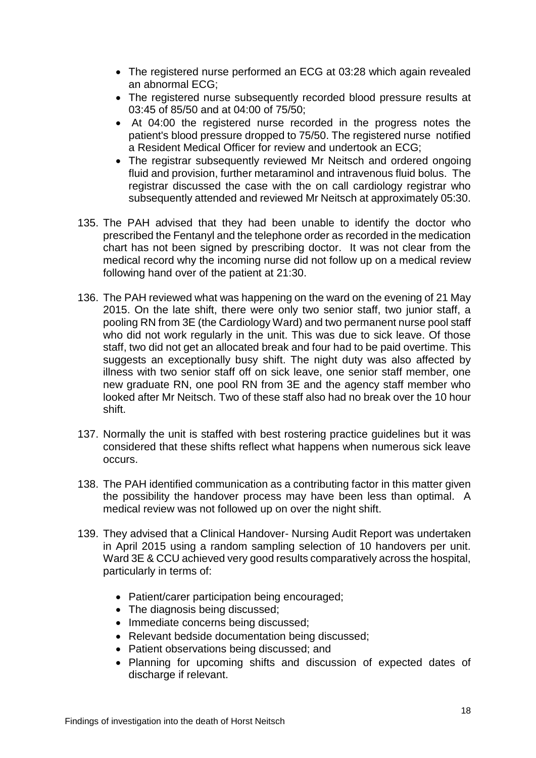- The registered nurse performed an ECG at 03:28 which again revealed an abnormal ECG;
- The registered nurse subsequently recorded blood pressure results at 03:45 of 85/50 and at 04:00 of 75/50;
- At 04:00 the registered nurse recorded in the progress notes the patient's blood pressure dropped to 75/50. The registered nurse notified a Resident Medical Officer for review and undertook an ECG;
- The registrar subsequently reviewed Mr Neitsch and ordered ongoing fluid and provision, further metaraminol and intravenous fluid bolus. The registrar discussed the case with the on call cardiology registrar who subsequently attended and reviewed Mr Neitsch at approximately 05:30.
- 135. The PAH advised that they had been unable to identify the doctor who prescribed the Fentanyl and the telephone order as recorded in the medication chart has not been signed by prescribing doctor. It was not clear from the medical record why the incoming nurse did not follow up on a medical review following hand over of the patient at 21:30.
- 136. The PAH reviewed what was happening on the ward on the evening of 21 May 2015. On the late shift, there were only two senior staff, two junior staff, a pooling RN from 3E (the Cardiology Ward) and two permanent nurse pool staff who did not work regularly in the unit. This was due to sick leave. Of those staff, two did not get an allocated break and four had to be paid overtime. This suggests an exceptionally busy shift. The night duty was also affected by illness with two senior staff off on sick leave, one senior staff member, one new graduate RN, one pool RN from 3E and the agency staff member who looked after Mr Neitsch. Two of these staff also had no break over the 10 hour shift.
- 137. Normally the unit is staffed with best rostering practice guidelines but it was considered that these shifts reflect what happens when numerous sick leave occurs.
- 138. The PAH identified communication as a contributing factor in this matter given the possibility the handover process may have been less than optimal. A medical review was not followed up on over the night shift.
- 139. They advised that a Clinical Handover- Nursing Audit Report was undertaken in April 2015 using a random sampling selection of 10 handovers per unit. Ward 3E & CCU achieved very good results comparatively across the hospital, particularly in terms of:
	- Patient/carer participation being encouraged:
	- The diagnosis being discussed;
	- Immediate concerns being discussed;
	- Relevant bedside documentation being discussed:
	- Patient observations being discussed; and
	- Planning for upcoming shifts and discussion of expected dates of discharge if relevant.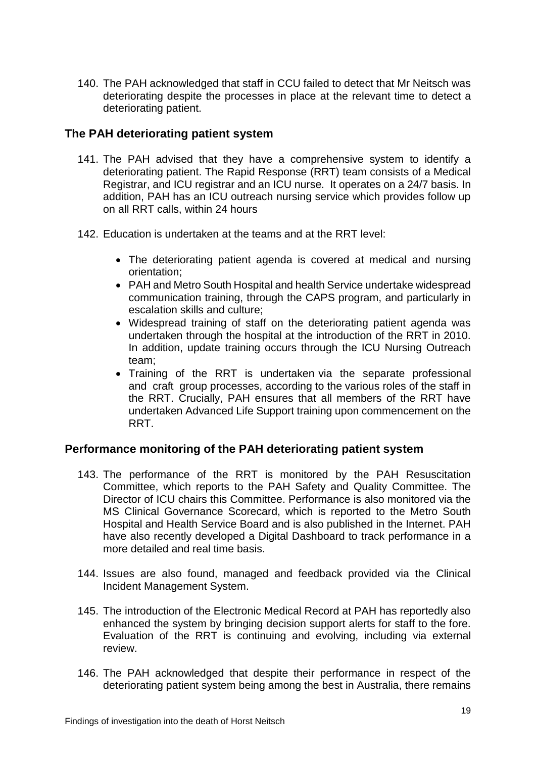140. The PAH acknowledged that staff in CCU failed to detect that Mr Neitsch was deteriorating despite the processes in place at the relevant time to detect a deteriorating patient.

### **The PAH deteriorating patient system**

- 141. The PAH advised that they have a comprehensive system to identify a deteriorating patient. The Rapid Response (RRT) team consists of a Medical Registrar, and ICU registrar and an ICU nurse. It operates on a 24/7 basis. In addition, PAH has an ICU outreach nursing service which provides follow up on all RRT calls, within 24 hours
- 142. Education is undertaken at the teams and at the RRT level:
	- The deteriorating patient agenda is covered at medical and nursing orientation;
	- PAH and Metro South Hospital and health Service undertake widespread communication training, through the CAPS program, and particularly in escalation skills and culture;
	- Widespread training of staff on the deteriorating patient agenda was undertaken through the hospital at the introduction of the RRT in 2010. In addition, update training occurs through the ICU Nursing Outreach team;
	- Training of the RRT is undertaken via the separate professional and craft group processes, according to the various roles of the staff in the RRT. Crucially, PAH ensures that all members of the RRT have undertaken Advanced Life Support training upon commencement on the RRT.

#### **Performance monitoring of the PAH deteriorating patient system**

- 143. The performance of the RRT is monitored by the PAH Resuscitation Committee, which reports to the PAH Safety and Quality Committee. The Director of ICU chairs this Committee. Performance is also monitored via the MS Clinical Governance Scorecard, which is reported to the Metro South Hospital and Health Service Board and is also published in the Internet. PAH have also recently developed a Digital Dashboard to track performance in a more detailed and real time basis.
- 144. Issues are also found, managed and feedback provided via the Clinical Incident Management System.
- 145. The introduction of the Electronic Medical Record at PAH has reportedly also enhanced the system by bringing decision support alerts for staff to the fore. Evaluation of the RRT is continuing and evolving, including via external review.
- 146. The PAH acknowledged that despite their performance in respect of the deteriorating patient system being among the best in Australia, there remains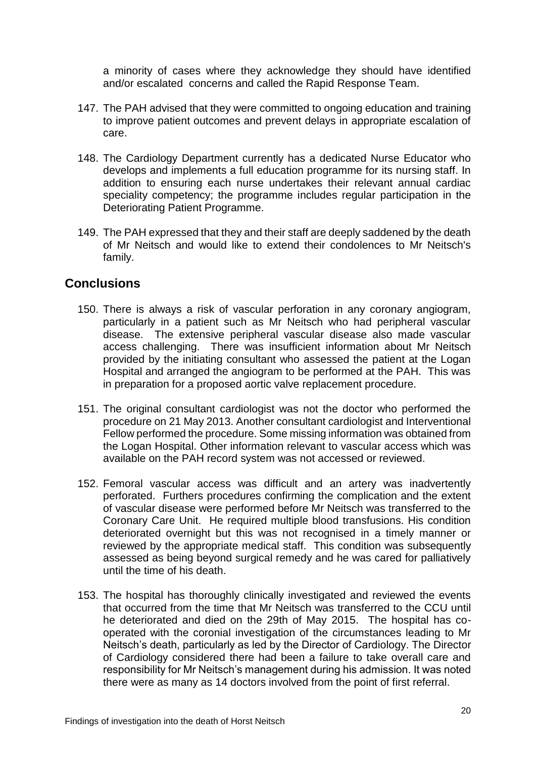a minority of cases where they acknowledge they should have identified and/or escalated concerns and called the Rapid Response Team.

- 147. The PAH advised that they were committed to ongoing education and training to improve patient outcomes and prevent delays in appropriate escalation of care.
- 148. The Cardiology Department currently has a dedicated Nurse Educator who develops and implements a full education programme for its nursing staff. In addition to ensuring each nurse undertakes their relevant annual cardiac speciality competency; the programme includes regular participation in the Deteriorating Patient Programme.
- 149. The PAH expressed that they and their staff are deeply saddened by the death of Mr Neitsch and would like to extend their condolences to Mr Neitsch's family.

## **Conclusions**

- 150. There is always a risk of vascular perforation in any coronary angiogram, particularly in a patient such as Mr Neitsch who had peripheral vascular disease. The extensive peripheral vascular disease also made vascular access challenging. There was insufficient information about Mr Neitsch provided by the initiating consultant who assessed the patient at the Logan Hospital and arranged the angiogram to be performed at the PAH. This was in preparation for a proposed aortic valve replacement procedure.
- 151. The original consultant cardiologist was not the doctor who performed the procedure on 21 May 2013. Another consultant cardiologist and Interventional Fellow performed the procedure. Some missing information was obtained from the Logan Hospital. Other information relevant to vascular access which was available on the PAH record system was not accessed or reviewed.
- 152. Femoral vascular access was difficult and an artery was inadvertently perforated. Furthers procedures confirming the complication and the extent of vascular disease were performed before Mr Neitsch was transferred to the Coronary Care Unit. He required multiple blood transfusions. His condition deteriorated overnight but this was not recognised in a timely manner or reviewed by the appropriate medical staff. This condition was subsequently assessed as being beyond surgical remedy and he was cared for palliatively until the time of his death.
- 153. The hospital has thoroughly clinically investigated and reviewed the events that occurred from the time that Mr Neitsch was transferred to the CCU until he deteriorated and died on the 29th of May 2015. The hospital has cooperated with the coronial investigation of the circumstances leading to Mr Neitsch's death, particularly as led by the Director of Cardiology. The Director of Cardiology considered there had been a failure to take overall care and responsibility for Mr Neitsch's management during his admission. It was noted there were as many as 14 doctors involved from the point of first referral.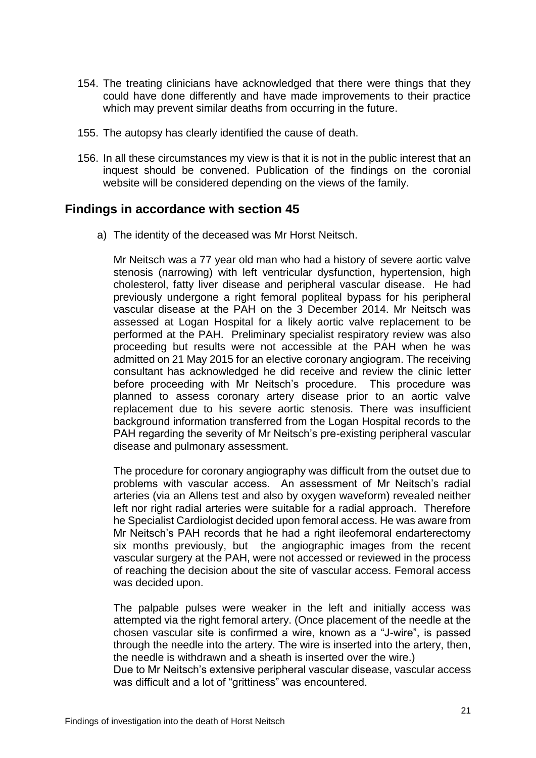- 154. The treating clinicians have acknowledged that there were things that they could have done differently and have made improvements to their practice which may prevent similar deaths from occurring in the future.
- 155. The autopsy has clearly identified the cause of death.
- 156. In all these circumstances my view is that it is not in the public interest that an inquest should be convened. Publication of the findings on the coronial website will be considered depending on the views of the family.

## **Findings in accordance with section 45**

a) The identity of the deceased was Mr Horst Neitsch.

Mr Neitsch was a 77 year old man who had a history of severe aortic valve stenosis (narrowing) with left ventricular dysfunction, hypertension, high cholesterol, fatty liver disease and peripheral vascular disease. He had previously undergone a right femoral popliteal bypass for his peripheral vascular disease at the PAH on the 3 December 2014. Mr Neitsch was assessed at Logan Hospital for a likely aortic valve replacement to be performed at the PAH. Preliminary specialist respiratory review was also proceeding but results were not accessible at the PAH when he was admitted on 21 May 2015 for an elective coronary angiogram. The receiving consultant has acknowledged he did receive and review the clinic letter before proceeding with Mr Neitsch's procedure. This procedure was planned to assess coronary artery disease prior to an aortic valve replacement due to his severe aortic stenosis. There was insufficient background information transferred from the Logan Hospital records to the PAH regarding the severity of Mr Neitsch's pre-existing peripheral vascular disease and pulmonary assessment.

The procedure for coronary angiography was difficult from the outset due to problems with vascular access. An assessment of Mr Neitsch's radial arteries (via an Allens test and also by oxygen waveform) revealed neither left nor right radial arteries were suitable for a radial approach. Therefore he Specialist Cardiologist decided upon femoral access. He was aware from Mr Neitsch's PAH records that he had a right ileofemoral endarterectomy six months previously, but the angiographic images from the recent vascular surgery at the PAH, were not accessed or reviewed in the process of reaching the decision about the site of vascular access. Femoral access was decided upon.

The palpable pulses were weaker in the left and initially access was attempted via the right femoral artery. (Once placement of the needle at the chosen vascular site is confirmed a wire, known as a "J-wire", is passed through the needle into the artery. The wire is inserted into the artery, then, the needle is withdrawn and a sheath is inserted over the wire.)

Due to Mr Neitsch's extensive peripheral vascular disease, vascular access was difficult and a lot of "grittiness" was encountered.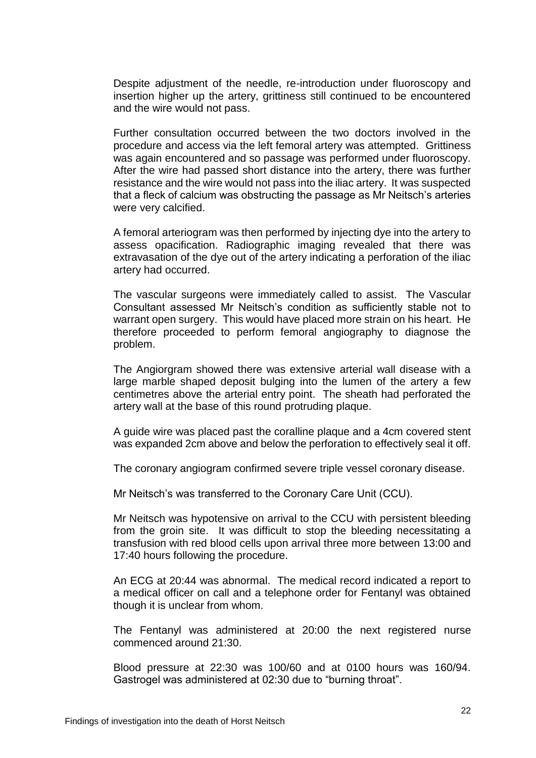Despite adjustment of the needle, re-introduction under fluoroscopy and insertion higher up the artery, grittiness still continued to be encountered and the wire would not pass.

Further consultation occurred between the two doctors involved in the procedure and access via the left femoral artery was attempted. Grittiness was again encountered and so passage was performed under fluoroscopy. After the wire had passed short distance into the artery, there was further resistance and the wire would not pass into the iliac artery. It was suspected that a fleck of calcium was obstructing the passage as Mr Neitsch's arteries were very calcified.

A femoral arteriogram was then performed by injecting dye into the artery to assess opacification. Radiographic imaging revealed that there was extravasation of the dye out of the artery indicating a perforation of the iliac artery had occurred.

The vascular surgeons were immediately called to assist. The Vascular Consultant assessed Mr Neitsch's condition as sufficiently stable not to warrant open surgery. This would have placed more strain on his heart. He therefore proceeded to perform femoral angiography to diagnose the problem.

The Angiorgram showed there was extensive arterial wall disease with a large marble shaped deposit bulging into the lumen of the artery a few centimetres above the arterial entry point. The sheath had perforated the artery wall at the base of this round protruding plaque.

A guide wire was placed past the coralline plaque and a 4cm covered stent was expanded 2cm above and below the perforation to effectively seal it off.

The coronary angiogram confirmed severe triple vessel coronary disease.

Mr Neitsch's was transferred to the Coronary Care Unit (CCU).

Mr Neitsch was hypotensive on arrival to the CCU with persistent bleeding from the groin site. It was difficult to stop the bleeding necessitating a transfusion with red blood cells upon arrival three more between 13:00 and 17:40 hours following the procedure.

An ECG at 20:44 was abnormal. The medical record indicated a report to a medical officer on call and a telephone order for Fentanyl was obtained though it is unclear from whom.

The Fentanyl was administered at 20:00 the next registered nurse commenced around 21:30.

Blood pressure at 22:30 was 100/60 and at 0100 hours was 160/94. Gastrogel was administered at 02:30 due to "burning throat".